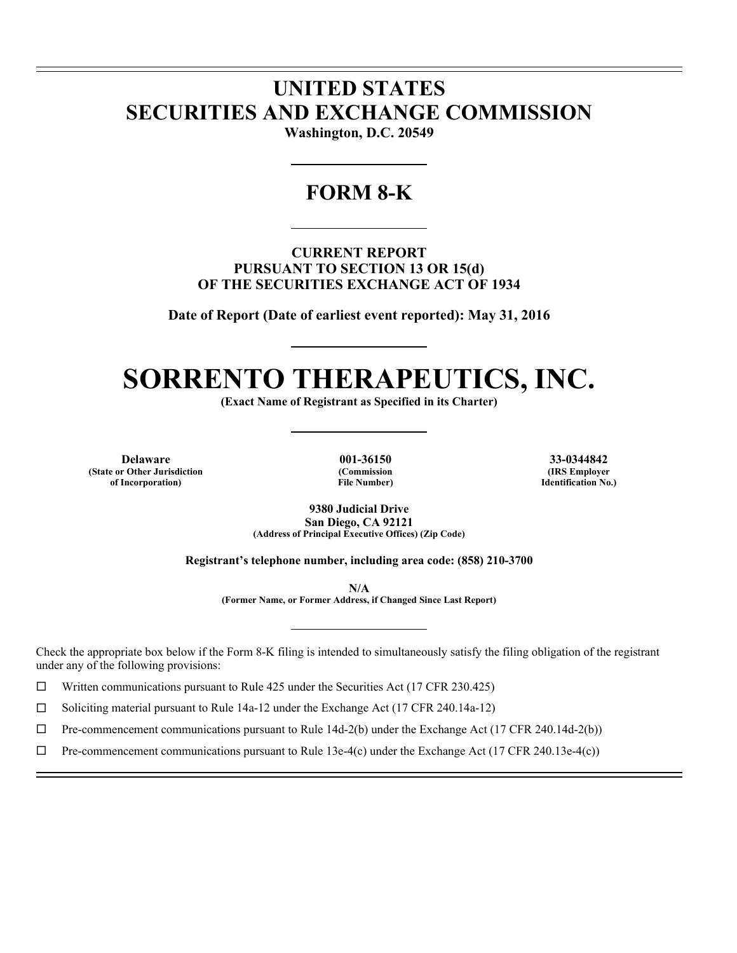## **UNITED STATES SECURITIES AND EXCHANGE COMMISSION**

**Washington, D.C. 20549** 

### **FORM 8-K**

**CURRENT REPORT PURSUANT TO SECTION 13 OR 15(d) OF THE SECURITIES EXCHANGE ACT OF 1934** 

**Date of Report (Date of earliest event reported): May 31, 2016** 

# **SORRENTO THERAPEUTICS, INC.**

**(Exact Name of Registrant as Specified in its Charter)** 

**Delaware 001-36150 33-0344842 (State or Other Jurisdiction of Incorporation)**

l l

 $\overline{a}$ 

**(Commission File Number)**

**(IRS Employer Identification No.)**

**9380 Judicial Drive San Diego, CA 92121 (Address of Principal Executive Offices) (Zip Code)** 

**Registrant's telephone number, including area code: (858) 210-3700** 

**N/A** 

**(Former Name, or Former Address, if Changed Since Last Report)** 

Check the appropriate box below if the Form 8-K filing is intended to simultaneously satisfy the filing obligation of the registrant under any of the following provisions:

 $\Box$  Written communications pursuant to Rule 425 under the Securities Act (17 CFR 230.425)

 $\Box$  Soliciting material pursuant to Rule 14a-12 under the Exchange Act (17 CFR 240.14a-12)

 $\Box$  Pre-commencement communications pursuant to Rule 14d-2(b) under the Exchange Act (17 CFR 240.14d-2(b))

 $\Box$  Pre-commencement communications pursuant to Rule 13e-4(c) under the Exchange Act (17 CFR 240.13e-4(c))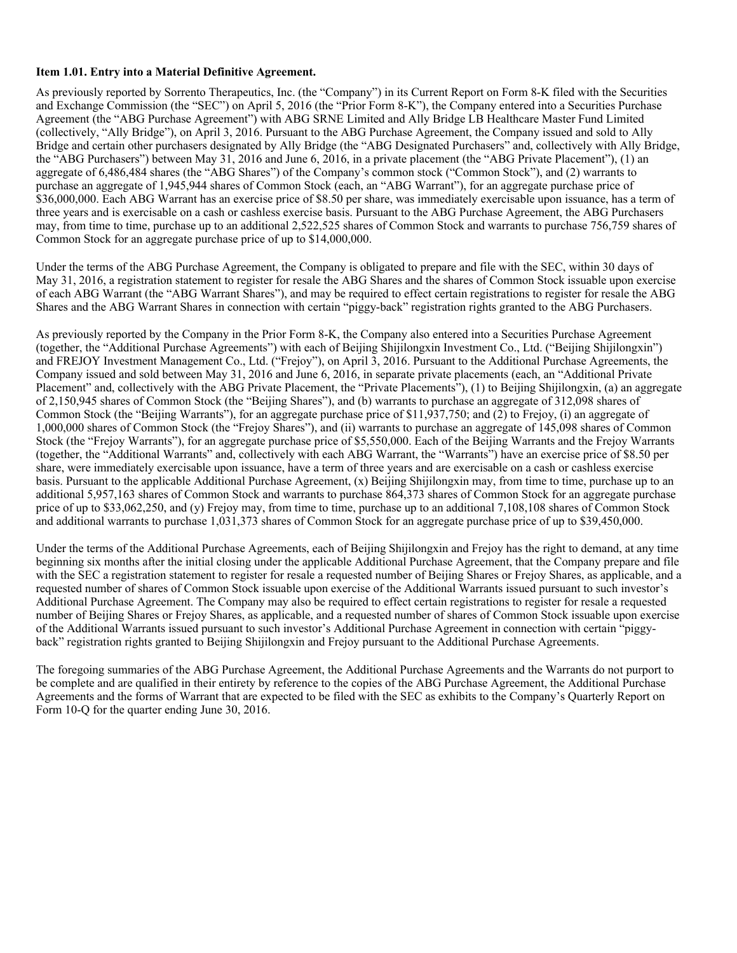#### **Item 1.01. Entry into a Material Definitive Agreement.**

As previously reported by Sorrento Therapeutics, Inc. (the "Company") in its Current Report on Form 8-K filed with the Securities and Exchange Commission (the "SEC") on April 5, 2016 (the "Prior Form 8-K"), the Company entered into a Securities Purchase Agreement (the "ABG Purchase Agreement") with ABG SRNE Limited and Ally Bridge LB Healthcare Master Fund Limited (collectively, "Ally Bridge"), on April 3, 2016. Pursuant to the ABG Purchase Agreement, the Company issued and sold to Ally Bridge and certain other purchasers designated by Ally Bridge (the "ABG Designated Purchasers" and, collectively with Ally Bridge, the "ABG Purchasers") between May 31, 2016 and June 6, 2016, in a private placement (the "ABG Private Placement"), (1) an aggregate of 6,486,484 shares (the "ABG Shares") of the Company's common stock ("Common Stock"), and (2) warrants to purchase an aggregate of 1,945,944 shares of Common Stock (each, an "ABG Warrant"), for an aggregate purchase price of \$36,000,000. Each ABG Warrant has an exercise price of \$8.50 per share, was immediately exercisable upon issuance, has a term of three years and is exercisable on a cash or cashless exercise basis. Pursuant to the ABG Purchase Agreement, the ABG Purchasers may, from time to time, purchase up to an additional 2,522,525 shares of Common Stock and warrants to purchase 756,759 shares of Common Stock for an aggregate purchase price of up to \$14,000,000.

Under the terms of the ABG Purchase Agreement, the Company is obligated to prepare and file with the SEC, within 30 days of May 31, 2016, a registration statement to register for resale the ABG Shares and the shares of Common Stock issuable upon exercise of each ABG Warrant (the "ABG Warrant Shares"), and may be required to effect certain registrations to register for resale the ABG Shares and the ABG Warrant Shares in connection with certain "piggy-back" registration rights granted to the ABG Purchasers.

As previously reported by the Company in the Prior Form 8-K, the Company also entered into a Securities Purchase Agreement (together, the "Additional Purchase Agreements") with each of Beijing Shijilongxin Investment Co., Ltd. ("Beijing Shijilongxin") and FREJOY Investment Management Co., Ltd. ("Frejoy"), on April 3, 2016. Pursuant to the Additional Purchase Agreements, the Company issued and sold between May 31, 2016 and June 6, 2016, in separate private placements (each, an "Additional Private Placement" and, collectively with the ABG Private Placement, the "Private Placements"), (1) to Beijing Shijilongxin, (a) an aggregate of 2,150,945 shares of Common Stock (the "Beijing Shares"), and (b) warrants to purchase an aggregate of 312,098 shares of Common Stock (the "Beijing Warrants"), for an aggregate purchase price of \$11,937,750; and (2) to Frejoy, (i) an aggregate of 1,000,000 shares of Common Stock (the "Frejoy Shares"), and (ii) warrants to purchase an aggregate of 145,098 shares of Common Stock (the "Frejoy Warrants"), for an aggregate purchase price of \$5,550,000. Each of the Beijing Warrants and the Frejoy Warrants (together, the "Additional Warrants" and, collectively with each ABG Warrant, the "Warrants") have an exercise price of \$8.50 per share, were immediately exercisable upon issuance, have a term of three years and are exercisable on a cash or cashless exercise basis. Pursuant to the applicable Additional Purchase Agreement, (x) Beijing Shijilongxin may, from time to time, purchase up to an additional 5,957,163 shares of Common Stock and warrants to purchase 864,373 shares of Common Stock for an aggregate purchase price of up to \$33,062,250, and (y) Frejoy may, from time to time, purchase up to an additional 7,108,108 shares of Common Stock and additional warrants to purchase 1,031,373 shares of Common Stock for an aggregate purchase price of up to \$39,450,000.

Under the terms of the Additional Purchase Agreements, each of Beijing Shijilongxin and Frejoy has the right to demand, at any time beginning six months after the initial closing under the applicable Additional Purchase Agreement, that the Company prepare and file with the SEC a registration statement to register for resale a requested number of Beijing Shares or Frejoy Shares, as applicable, and a requested number of shares of Common Stock issuable upon exercise of the Additional Warrants issued pursuant to such investor's Additional Purchase Agreement. The Company may also be required to effect certain registrations to register for resale a requested number of Beijing Shares or Frejoy Shares, as applicable, and a requested number of shares of Common Stock issuable upon exercise of the Additional Warrants issued pursuant to such investor's Additional Purchase Agreement in connection with certain "piggyback" registration rights granted to Beijing Shijilongxin and Frejoy pursuant to the Additional Purchase Agreements.

The foregoing summaries of the ABG Purchase Agreement, the Additional Purchase Agreements and the Warrants do not purport to be complete and are qualified in their entirety by reference to the copies of the ABG Purchase Agreement, the Additional Purchase Agreements and the forms of Warrant that are expected to be filed with the SEC as exhibits to the Company's Quarterly Report on Form 10-Q for the quarter ending June 30, 2016.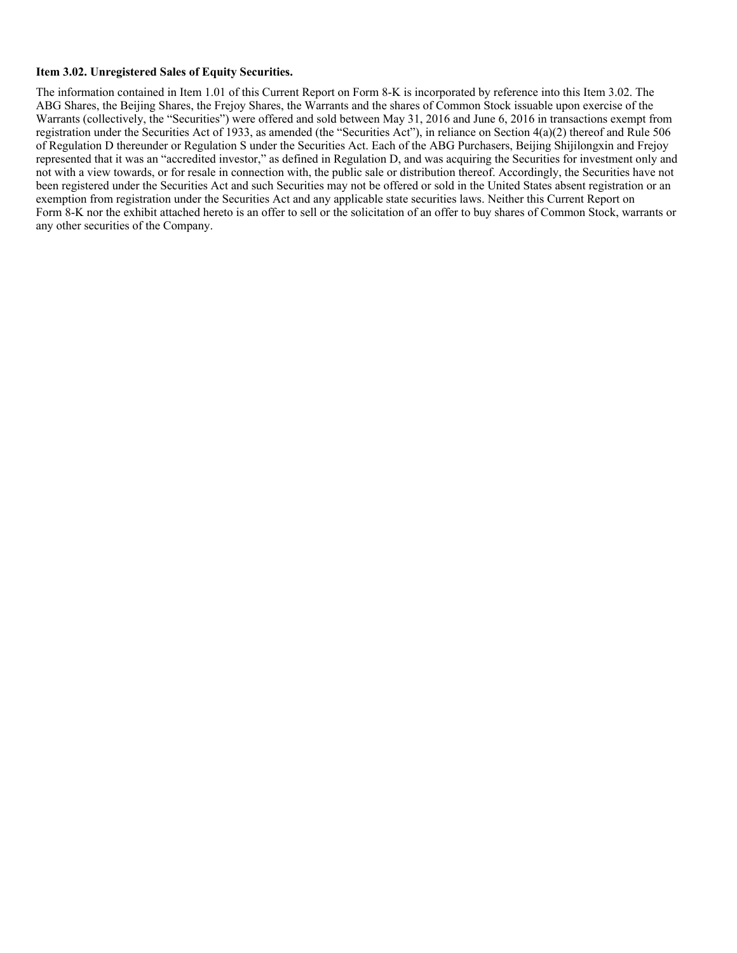#### **Item 3.02. Unregistered Sales of Equity Securities.**

The information contained in Item 1.01 of this Current Report on Form 8-K is incorporated by reference into this Item 3.02. The ABG Shares, the Beijing Shares, the Frejoy Shares, the Warrants and the shares of Common Stock issuable upon exercise of the Warrants (collectively, the "Securities") were offered and sold between May 31, 2016 and June 6, 2016 in transactions exempt from registration under the Securities Act of 1933, as amended (the "Securities Act"), in reliance on Section 4(a)(2) thereof and Rule 506 of Regulation D thereunder or Regulation S under the Securities Act. Each of the ABG Purchasers, Beijing Shijilongxin and Frejoy represented that it was an "accredited investor," as defined in Regulation D, and was acquiring the Securities for investment only and not with a view towards, or for resale in connection with, the public sale or distribution thereof. Accordingly, the Securities have not been registered under the Securities Act and such Securities may not be offered or sold in the United States absent registration or an exemption from registration under the Securities Act and any applicable state securities laws. Neither this Current Report on Form 8-K nor the exhibit attached hereto is an offer to sell or the solicitation of an offer to buy shares of Common Stock, warrants or any other securities of the Company.